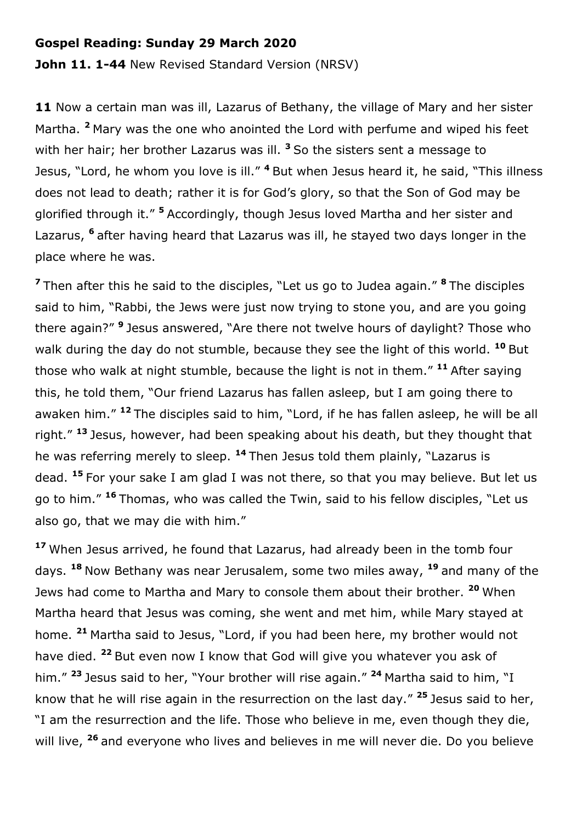## **Gospel Reading: Sunday 29 March 2020**

**John 11. 1-44** New Revised Standard Version (NRSV)

11 Now a certain man was ill, Lazarus of Bethany, the village of Mary and her sister Martha. **<sup>2</sup>** Mary was the one who anointed the Lord with perfume and wiped his feet with her hair; her brother Lazarus was ill. <sup>3</sup> So the sisters sent a message to Jesus, "Lord, he whom you love is ill." **<sup>4</sup>** But when Jesus heard it, he said, "This illness does not lead to death; rather it is for God's glory, so that the Son of God may be glorified through it." **<sup>5</sup>** Accordingly, though Jesus loved Martha and her sister and Lazarus, **<sup>6</sup>** after having heard that Lazarus was ill, he stayed two days longer in the place where he was.

**<sup>7</sup>** Then after this he said to the disciples, "Let us go to Judea again." **<sup>8</sup>** The disciples said to him, "Rabbi, the Jews were just now trying to stone you, and are you going there again?" **<sup>9</sup>** Jesus answered, "Are there not twelve hours of daylight? Those who walk during the day do not stumble, because they see the light of this world. **<sup>10</sup>** But those who walk at night stumble, because the light is not in them." **<sup>11</sup>** After saying this, he told them, "Our friend Lazarus has fallen asleep, but I am going there to awaken him." **<sup>12</sup>** The disciples said to him, "Lord, if he has fallen asleep, he will be all right." **<sup>13</sup>** Jesus, however, had been speaking about his death, but they thought that he was referring merely to sleep. **<sup>14</sup>** Then Jesus told them plainly, "Lazarus is dead. **<sup>15</sup>** For your sake I am glad I was not there, so that you may believe. But let us go to him." **<sup>16</sup>** Thomas, who was called the Twin, said to his fellow disciples, "Let us also go, that we may die with him."

**<sup>17</sup>** When Jesus arrived, he found that Lazarus, had already been in the tomb four days. **<sup>18</sup>** Now Bethany was near Jerusalem, some two miles away, **<sup>19</sup>** and many of the Jews had come to Martha and Mary to console them about their brother. **<sup>20</sup>** When Martha heard that Jesus was coming, she went and met him, while Mary stayed at home. **<sup>21</sup>** Martha said to Jesus, "Lord, if you had been here, my brother would not have died. **<sup>22</sup>** But even now I know that God will give you whatever you ask of him." **<sup>23</sup>** Jesus said to her, "Your brother will rise again." **<sup>24</sup>** Martha said to him, "I know that he will rise again in the resurrection on the last day." **<sup>25</sup>** Jesus said to her, "I am the resurrection and the life. Those who believe in me, even though they die, will live, **<sup>26</sup>** and everyone who lives and believes in me will never die. Do you believe